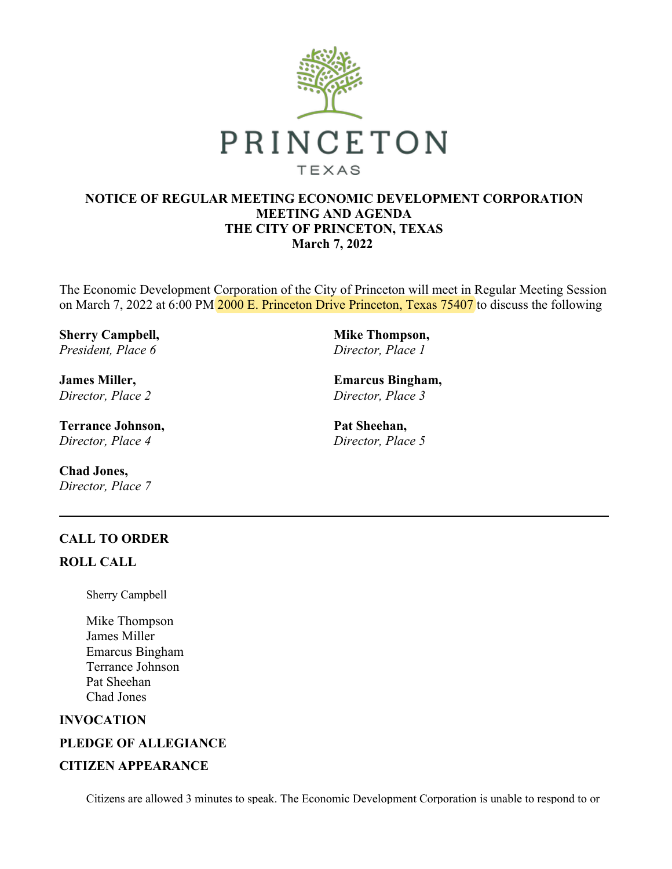

## **NOTICE OF REGULAR MEETING ECONOMIC DEVELOPMENT CORPORATION MEETING AND AGENDA THE CITY OF PRINCETON, TEXAS March 7, 2022**

The Economic Development Corporation of the City of Princeton will meet in Regular Meeting Session on March 7, 2022 at 6:00 PM 2000 E. Princeton Drive Princeton, Texas 75407 to discuss the following

**Sherry Campbell,**  *President, Place 6*

**James Miller,**  *Director, Place 2*

**Terrance Johnson,**  *Director, Place 4*

**Chad Jones,**  *Director, Place 7* **Mike Thompson,**  *Director, Place 1*

**Emarcus Bingham,**  *Director, Place 3*

**Pat Sheehan,**  *Director, Place 5*

# **CALL TO ORDER**

# **ROLL CALL**

Sherry Campbell

Mike Thompson James Miller Emarcus Bingham Terrance Johnson Pat Sheehan Chad Jones

## **INVOCATION**

## **PLEDGE OF ALLEGIANCE**

## **CITIZEN APPEARANCE**

Citizens are allowed 3 minutes to speak. The Economic Development Corporation is unable to respond to or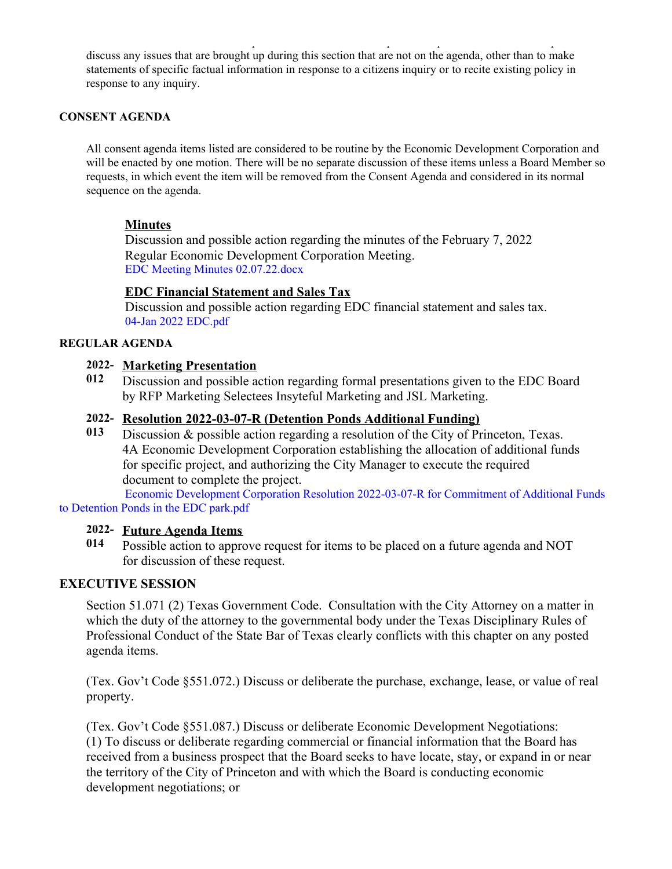Citizens are allowed 3 minutes to speak. The Economic Development Corporation is unable to respond to or discuss any issues that are brought up during this section that are not on the agenda, other than to make statements of specific factual information in response to a citizens inquiry or to recite existing policy in response to any inquiry.

## **CONSENT AGENDA**

All consent agenda items listed are considered to be routine by the Economic Development Corporation and will be enacted by one motion. There will be no separate discussion of these items unless a Board Member so requests, in which event the item will be removed from the Consent Agenda and considered in its normal sequence on the agenda.

## **Minutes**

Discussion and possible action regarding the minutes of the February 7, 2022 Regular Economic Development Corporation Meeting. [EDC Meeting Minutes 02.07.22.docx](https://legistarweb-production.s3.amazonaws.com/uploads/attachment/pdf/1239687/EDC_Meeting_Minutes_02.07.22.pdf)

## **EDC Financial Statement and Sales Tax**

Discussion and possible action regarding EDC financial statement and sales tax. [04-Jan 2022 EDC.pdf](https://legistarweb-production.s3.amazonaws.com/uploads/attachment/pdf/1254798/04-Jan_2022_EDC.pdf)

## **REGULAR AGENDA**

## **2022- Marketing Presentation**

**012** Discussion and possible action regarding formal presentations given to the EDC Board by RFP Marketing Selectees Insyteful Marketing and JSL Marketing.

## **2022- Resolution 2022-03-07-R (Detention Ponds Additional Funding)**

**013** Discussion & possible action regarding a resolution of the City of Princeton, Texas. 4A Economic Development Corporation establishing the allocation of additional funds for specific project, and authorizing the City Manager to execute the required document to complete the project.

[Economic Development Corporation Resolution 2022-03-07-R for Commitment of Additional Funds](https://legistarweb-production.s3.amazonaws.com/uploads/attachment/pdf/1273603/Economic_Development_Corporation_Resolution_2022-03-07-R_for_Commitment_of_Additional_Funds_to_Detention_Ponds_in_the_EDC_park.pdf) to Detention Ponds in the EDC park.pdf

## **2022- Future Agenda Items**

**014** Possible action to approve request for items to be placed on a future agenda and NOT for discussion of these request.

#### **EXECUTIVE SESSION**

Section 51.071 (2) Texas Government Code. Consultation with the City Attorney on a matter in which the duty of the attorney to the governmental body under the Texas Disciplinary Rules of Professional Conduct of the State Bar of Texas clearly conflicts with this chapter on any posted agenda items.

(Tex. Gov't Code §551.072.) Discuss or deliberate the purchase, exchange, lease, or value of real property.

(Tex. Gov't Code §551.087.) Discuss or deliberate Economic Development Negotiations: (1) To discuss or deliberate regarding commercial or financial information that the Board has received from a business prospect that the Board seeks to have locate, stay, or expand in or near the territory of the City of Princeton and with which the Board is conducting economic development negotiations; or